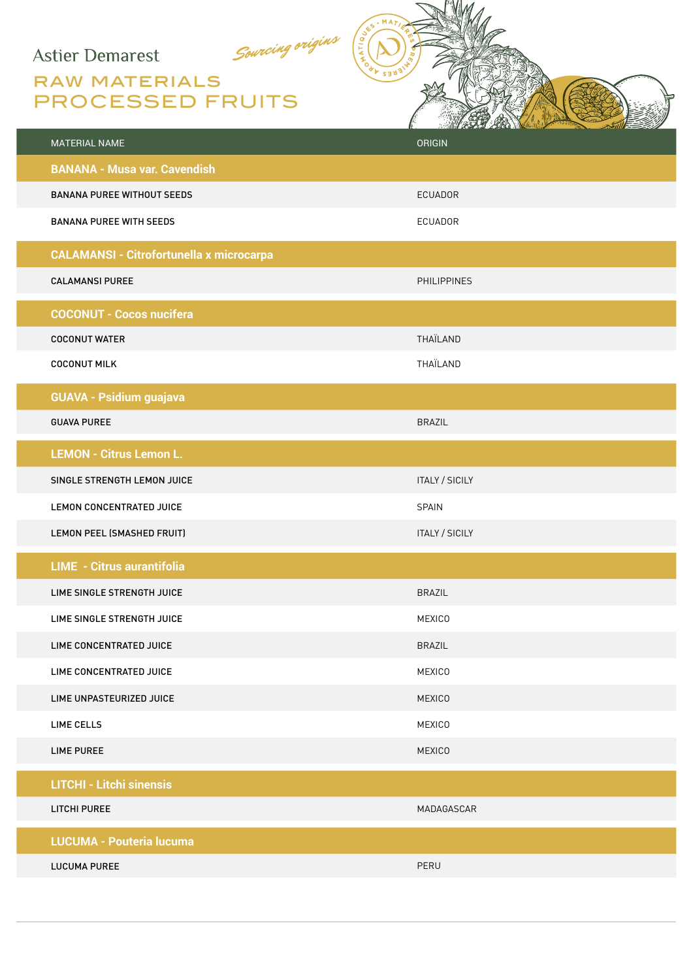## **Astier Demarest**

## Sourcing origins RAW MATERIALS PROCESSED FRUITS

| MATERIAL NAME                                   | <b>ORIGIN</b>         |
|-------------------------------------------------|-----------------------|
| <b>BANANA - Musa var. Cavendish</b>             |                       |
| <b>BANANA PUREE WITHOUT SEEDS</b>               | <b>ECUADOR</b>        |
| <b>BANANA PUREE WITH SEEDS</b>                  | ECUADOR               |
| <b>CALAMANSI - Citrofortunella x microcarpa</b> |                       |
| <b>CALAMANSI PUREE</b>                          | <b>PHILIPPINES</b>    |
| <b>COCONUT - Cocos nucifera</b>                 |                       |
| <b>COCONUT WATER</b>                            | THAÏLAND              |
| <b>COCONUT MILK</b>                             | THAÏLAND              |
| <b>GUAVA - Psidium guajava</b>                  |                       |
| <b>GUAVA PUREE</b>                              | <b>BRAZIL</b>         |
| <b>LEMON - Citrus Lemon L.</b>                  |                       |
| SINGLE STRENGTH LEMON JUICE                     | <b>ITALY / SICILY</b> |
| LEMON CONCENTRATED JUICE                        | SPAIN                 |
| LEMON PEEL (SMASHED FRUIT)                      | <b>ITALY / SICILY</b> |
| <b>LIME - Citrus aurantifolia</b>               |                       |
| LIME SINGLE STRENGTH JUICE                      | <b>BRAZIL</b>         |
| LIME SINGLE STRENGTH JUICE                      | <b>MEXICO</b>         |
| LIME CONCENTRATED JUICE                         | <b>BRAZIL</b>         |
| LIME CONCENTRATED JUICE                         | <b>MEXICO</b>         |
| LIME UNPASTEURIZED JUICE                        | <b>MEXICO</b>         |
| <b>LIME CELLS</b>                               | <b>MEXICO</b>         |
| <b>LIME PUREE</b>                               | <b>MEXICO</b>         |
| <b>LITCHI - Litchi sinensis</b>                 |                       |
| LITCHI PUREE                                    | MADAGASCAR            |
| <b>LUCUMA - Pouteria lucuma</b>                 |                       |
| <b>LUCUMA PUREE</b>                             | PERU                  |
|                                                 |                       |

 $MA$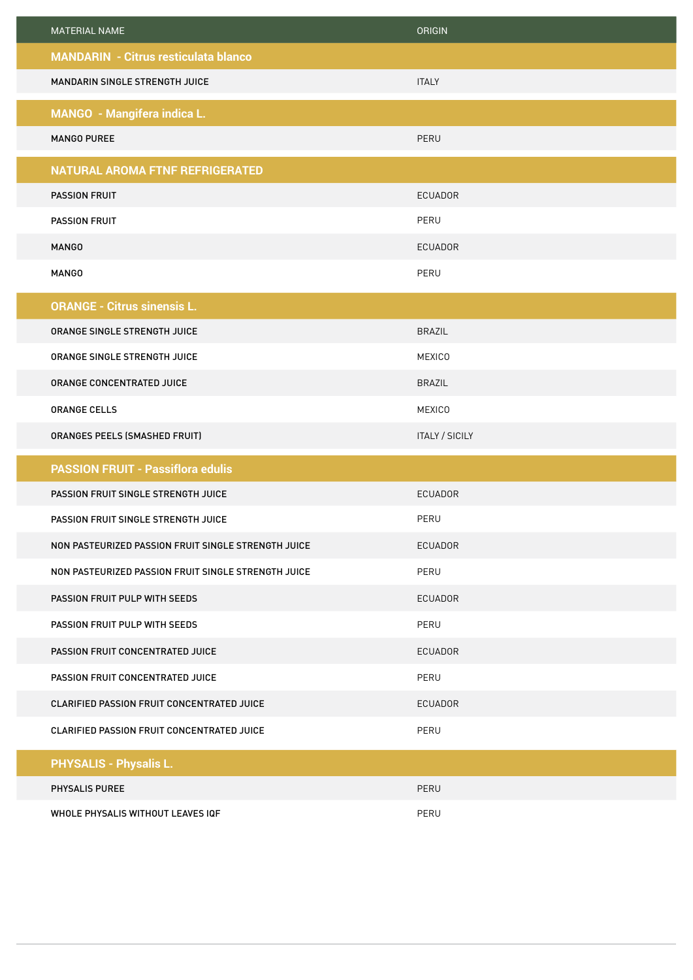| <b>MATERIAL NAME</b>                                | <b>ORIGIN</b>         |
|-----------------------------------------------------|-----------------------|
| <b>MANDARIN - Citrus resticulata blanco</b>         |                       |
| MANDARIN SINGLE STRENGTH JUICE                      | <b>ITALY</b>          |
| <b>MANGO - Mangifera indica L.</b>                  |                       |
| <b>MANGO PUREE</b>                                  | PERU                  |
| <b>NATURAL AROMA FTNF REFRIGERATED</b>              |                       |
| <b>PASSION FRUIT</b>                                | <b>ECUADOR</b>        |
| <b>PASSION FRUIT</b>                                | PERU                  |
| <b>MANGO</b>                                        | <b>ECUADOR</b>        |
| <b>MANGO</b>                                        | PERU                  |
| <b>ORANGE - Citrus sinensis L.</b>                  |                       |
| ORANGE SINGLE STRENGTH JUICE                        | <b>BRAZIL</b>         |
| ORANGE SINGLE STRENGTH JUICE                        | <b>MEXICO</b>         |
| ORANGE CONCENTRATED JUICE                           | <b>BRAZIL</b>         |
| <b>ORANGE CELLS</b>                                 | <b>MEXICO</b>         |
| ORANGES PEELS (SMASHED FRUIT)                       | <b>ITALY / SICILY</b> |
| <b>PASSION FRUIT - Passiflora edulis</b>            |                       |
| PASSION FRUIT SINGLE STRENGTH JUICE                 | <b>ECUADOR</b>        |
| PASSION FRUIT SINGLE STRENGTH JUICE                 | PERU                  |
| NON PASTEURIZED PASSION FRUIT SINGLE STRENGTH JUICE | <b>ECUADOR</b>        |
| NON PASTEURIZED PASSION FRUIT SINGLE STRENGTH JUICE | PERU                  |
| PASSION FRUIT PULP WITH SEEDS                       | <b>ECUADOR</b>        |
| PASSION FRUIT PULP WITH SEEDS                       | PERU                  |
| PASSION FRUIT CONCENTRATED JUICE                    | <b>ECUADOR</b>        |
| PASSION FRUIT CONCENTRATED JUICE                    | PERU                  |
| CLARIFIED PASSION FRUIT CONCENTRATED JUICE          | ECUADOR               |
| CLARIFIED PASSION FRUIT CONCENTRATED JUICE          | PERU                  |
| <b>PHYSALIS - Physalis L.</b>                       |                       |
| PHYSALIS PUREE                                      | PERU                  |
| WHOLE PHYSALIS WITHOUT LEAVES IQF                   | PERU                  |